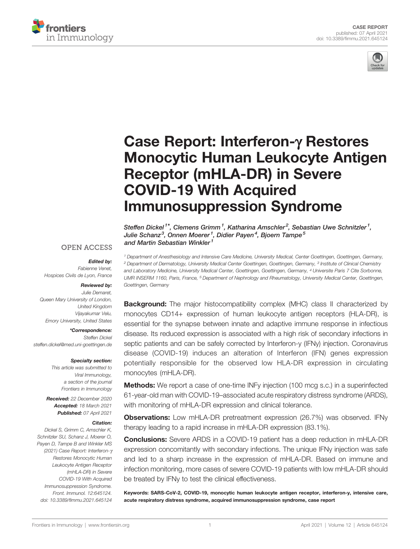



# [Case Report: Interferon-](https://www.frontiersin.org/articles/10.3389/fimmu.2021.645124/full)g Restores [Monocytic Human Leukocyte Antigen](https://www.frontiersin.org/articles/10.3389/fimmu.2021.645124/full) [Receptor \(mHLA-DR\) in Severe](https://www.frontiersin.org/articles/10.3389/fimmu.2021.645124/full) [COVID-19 With Acquired](https://www.frontiersin.org/articles/10.3389/fimmu.2021.645124/full) [Immunosuppression Syndrome](https://www.frontiersin.org/articles/10.3389/fimmu.2021.645124/full)

Steffen Dickel<sup>1\*</sup>, Clemens Grimm<sup>1</sup>, Katharina Amschler<sup>2</sup>, Sebastian Uwe Schnitzler<sup>1</sup>, Julie Schanz<sup>3</sup>, Onnen Moerer<sup>1</sup>, Didier Paven<sup>4</sup>, Bioern Tampe<sup>5</sup> and Martin Sebastian Winkler<sup>1</sup>

<sup>1</sup> Department of Anesthesiology and Intensive Care Medicine, University Medical, Center Goettingen, Goettingen, Germany, <sup>2</sup> Department of Dermatology, University Medical Center Goettingen, Goettingen, Germany, <sup>3</sup> Institute of Clinical Chemistry and Laboratory Medicine, University Medical Center, Goettingen, Goettingen, Germany, <sup>4</sup> Universite Paris 7 Cite Sorbonne, UMR INSERM 1160, Paris, France, <sup>5</sup> Department of Nephrology and Rheumatology, University Medical Center, Goettingen, Goettingen, Germany

## **OPEN ACCESS**

#### Edited by:

Fabienne Venet, Hospices Civils de Lyon, France

#### Reviewed by:

Julie Demaret, Queen Mary University of London, United Kingdom Vijayakumar Velu, Emory University, United States

\*Correspondence: Steffen Dickel [steffen.dickel@med.uni-goettingen.de](mailto:steffen.dickel@med.uni-goettingen.de)

Specialty section:

This article was submitted to Viral Immunology, a section of the journal Frontiers in Immunology

Received: 22 December 2020 Accepted: 18 March 2021 Published: 07 April 2021

#### Citation:

Dickel S, Grimm C, Amschler K, Schnitzler SU, Schanz J, Moerer O, Payen D, Tampe B and Winkler MS (2021) Case Report: Interferon-g Restores Monocytic Human Leukocyte Antigen Receptor (mHLA-DR) in Severe COVID-19 With Acquired Immunosuppression Syndrome. Front. Immunol. 12:645124. [doi: 10.3389/fimmu.2021.645124](https://doi.org/10.3389/fimmu.2021.645124)

**Background:** The major histocompatibility complex (MHC) class II characterized by monocytes CD14+ expression of human leukocyte antigen receptors (HLA-DR), is essential for the synapse between innate and adaptive immune response in infectious disease. Its reduced expression is associated with a high risk of secondary infections in septic patients and can be safely corrected by Interferon-y (IFNy) injection. Coronavirus disease (COVID-19) induces an alteration of Interferon (IFN) genes expression potentially responsible for the observed low HLA-DR expression in circulating monocytes (mHLA-DR).

**Methods:** We report a case of one-time INFy injection (100 mcg s.c.) in a superinfected 61-year-old man with COVID-19–associated acute respiratory distress syndrome (ARDS), with monitoring of mHLA-DR expression and clinical tolerance.

**Observations:** Low mHLA-DR pretreatment expression (26.7%) was observed. IFNy therapy leading to a rapid increase in mHLA-DR expression (83.1%).

Conclusions: Severe ARDS in a COVID-19 patient has a deep reduction in mHLA-DR expression concomitantly with secondary infections. The unique IFNy injection was safe and led to a sharp increase in the expression of mHLA-DR. Based on immune and infection monitoring, more cases of severe COVID-19 patients with low mHLA-DR should be treated by IFNy to test the clinical effectiveness.

Keywords: SARS-CoV-2, COVID-19, monocytic human leukocyte antigen receptor, interferon-y, intensive care, acute respiratory distress syndrome, acquired immunosuppression syndrome, case report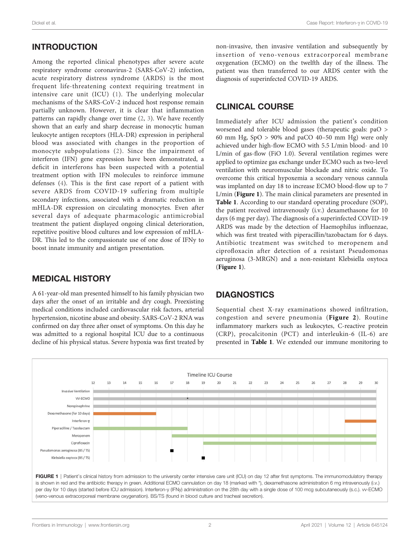# INTRODUCTION

Among the reported clinical phenotypes after severe acute respiratory syndrome coronavirus-2 (SARS-CoV-2) infection, acute respiratory distress syndrome (ARDS) is the most frequent life-threatening context requiring treatment in intensive care unit (ICU) ([1](#page-4-0)). The underlying molecular mechanisms of the SARS-CoV-2 induced host response remain partially unknown. However, it is clear that inflammation patterns can rapidly change over time ([2,](#page-4-0) [3](#page-4-0)). We have recently shown that an early and sharp decrease in monocytic human leukocyte antigen receptors (HLA-DR) expression in peripheral blood was associated with changes in the proportion of monocyte subpopulations ([2\)](#page-4-0). Since the impairment of interferon (IFN) gene expression have been demonstrated, a deficit in interferons has been suspected with a potential treatment option with IFN molecules to reinforce immune defenses ([4](#page-4-0)). This is the first case report of a patient with severe ARDS from COVID-19 suffering from multiple secondary infections, associated with a dramatic reduction in mHLA-DR expression on circulating monocytes. Even after several days of adequate pharmacologic antimicrobial treatment the patient displayed ongoing clinical deterioration, repetitive positive blood cultures and low expression of mHLA-DR. This led to the compassionate use of one dose of IFNy to boost innate immunity and antigen presentation.

## MEDICAL HISTORY

A 61-year-old man presented himself to his family physician two days after the onset of an irritable and dry cough. Preexisting medical conditions included cardiovascular risk factors, arterial hypertension, nicotine abuse and obesity. SARS-CoV-2 RNA was confirmed on day three after onset of symptoms. On this day he was admitted to a regional hospital ICU due to a continuous decline of his physical status. Severe hypoxia was first treated by non-invasive, then invasive ventilation and subsequently by insertion of veno-venous extracorporeal membrane oxygenation (ECMO) on the twelfth day of the illness. The patient was then transferred to our ARDS center with the diagnosis of superinfected COVID-19 ARDS.

# CLINICAL COURSE

Immediately after ICU admission the patient's condition worsened and tolerable blood gases (therapeutic goals: paO > 60 mm Hg,  $SpO > 90\%$  and paCO 40–50 mm Hg) were only achieved under high-flow ECMO with 5.5 L/min blood- and 10 L/min of gas-flow (FiO 1.0). Several ventilation regimes were applied to optimize gas exchange under ECMO such as two-level ventilation with neuromuscular blockade and nitric oxide. To overcome this critical hypoxemia a secondary venous cannula was implanted on day 18 to increase ECMO blood-flow up to 7 L/min (Figure 1). The main clinical parameters are presented in [Table 1](#page-2-0). According to our standard operating procedure (SOP), the patient received intravenously (i.v.) dexamethasone for 10 days (6 mg per day). The diagnosis of a superinfected COVID-19 ARDS was made by the detection of Haemophilus influenzae, which was first treated with piperacillin/tazobactam for 6 days. Antibiotic treatment was switched to meropenem and ciprofloxacin after detection of a resistant Pseudomonas aeruginosa (3-MRGN) and a non-resistant Klebsiella oxytoca (Figure 1).

# **DIAGNOSTICS**

Sequential chest X-ray examinations showed infiltration, congestion and severe pneumonia ([Figure 2](#page-2-0)). Routine inflammatory markers such as leukocytes, C-reactive protein (CRP), procalcitonin (PCT) and interleukin-6 (IL-6) are presented in [Table 1](#page-2-0). We extended our immune monitoring to

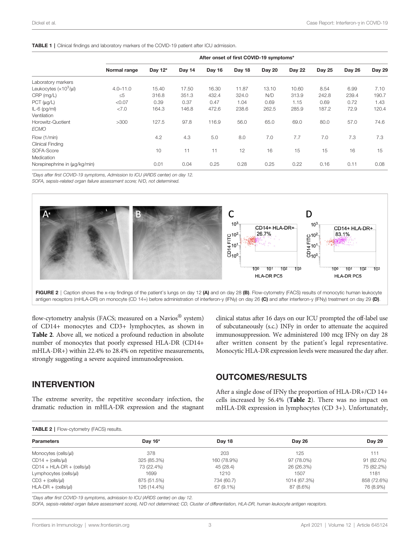#### <span id="page-2-0"></span>TABLE 1 | Clinical findings and laboratory markers of the COVID-19 patient after ICU admission.

|                                  | After onset of first COVID-19 symptoms* |         |        |        |        |               |               |        |        |        |
|----------------------------------|-----------------------------------------|---------|--------|--------|--------|---------------|---------------|--------|--------|--------|
|                                  | Normal range                            | Day 12* | Day 14 | Day 16 | Day 18 | <b>Day 20</b> | <b>Day 22</b> | Day 25 | Day 26 | Day 29 |
| Laboratory markers               |                                         |         |        |        |        |               |               |        |        |        |
| Leukocytes $(x10^3/\mu)$         | $4.0 - 11.0$                            | 15.40   | 17.50  | 16.30  | 11.87  | 13.10         | 10.60         | 8.54   | 6.99   | 7.10   |
| CRP (mg/L)                       | $\leq 5$                                | 316.8   | 351.3  | 432.4  | 324.0  | N/D           | 313.9         | 242.8  | 239.4  | 190.7  |
| PCT (µg/L)                       | < 0.07                                  | 0.39    | 0.37   | 0.47   | 1.04   | 0.69          | 1.15          | 0.69   | 0.72   | 1.43   |
| $IL-6$ (pg/ml)<br>Ventilation    | < 7.0                                   | 164.3   | 146.8  | 472.6  | 238.6  | 262.5         | 285.9         | 187.2  | 72.9   | 120.4  |
| Horowitz-Quotient<br><b>ECMO</b> | >300                                    | 127.5   | 97.8   | 116.9  | 56.0   | 65.0          | 69.0          | 80.0   | 57.0   | 74.6   |
| Flow (1/min)<br>Clinical Finding |                                         | 4.2     | 4.3    | 5.0    | 8.0    | 7.0           | 7.7           | 7.0    | 7.3    | 7.3    |
| SOFA-Score<br>Medication         |                                         | 10      | 11     | 11     | 12     | 16            | 15            | 15     | 16     | 15     |
| Norepinephrine in (µg/kg/min)    |                                         | 0.01    | 0.04   | 0.25   | 0.28   | 0.25          | 0.22          | 0.16   | 0.11   | 0.08   |

\*Days after first COVID-19 symptoms, Admission to ICU (ARDS center) on day 12.

SOFA, sepsis-related organ failure assessment score; N/D, not determined.





flow-cytometry analysis (FACS; measured on a Navios<sup>®</sup> system) of CD14+ monocytes and CD3+ lymphocytes, as shown in Table 2. Above all, we noticed a profound reduction in absolute number of monocytes that poorly expressed HLA-DR (CD14+ mHLA-DR+) within 22.4% to 28.4% on repetitive measurements, strongly suggesting a severe acquired immunodepression.

clinical status after 16 days on our ICU prompted the off-label use of subcutaneously (s.c.) INFy in order to attenuate the acquired immunosuppression. We administered 100 mcg IFNy on day 28 after written consent by the patient's legal representative. Monocytic HLA-DR expression levels were measured the day after.

#### INTERVENTION

The extreme severity, the repetitive secondary infection, the dramatic reduction in mHLA-DR expression and the stagnant

#### OUTCOMES/RESULTS

After a single dose of IFNy the proportion of HLA-DR+/CD 14+ cells increased by 56.4% (Table 2). There was no impact on mHLA-DR expression in lymphocytes (CD 3+). Unfortunately,

#### TABLE 2 | Flow-cytometry (FACS) results.

| <b>Parameters</b>           | Day 16*     | Day 18      | Day 26       | <b>Day 29</b> |  |  |  |  |  |
|-----------------------------|-------------|-------------|--------------|---------------|--|--|--|--|--|
| Monocytes (cells/µl)        | 378         | 203         | 125          | 111           |  |  |  |  |  |
| $CD14 + (cells/µ)$          | 325 (85.3%) | 160 (78.9%) | 97 (78.0%)   | 91 (82.0%)    |  |  |  |  |  |
| $CD14 + HLA-DR + (cells/µ)$ | 73 (22.4%)  | 45 (28.4)   | 26 (26.3%)   | 75 (82.2%)    |  |  |  |  |  |
| Lymphocytes (cells/µl)      | 1699        | 1210        | 1507         | 1181          |  |  |  |  |  |
| $CD3 + (cells/µ)$           | 875 (51.5%) | 734 (60.7)  | 1014 (67.3%) | 858 (72.6%)   |  |  |  |  |  |
| $HLA-DR + (cells/µ)$        | 126 (14.4%) | 67 (9.1%)   | 87 (8.6%)    | 76 (8.9%)     |  |  |  |  |  |

\*Days after first COVID-19 symptoms, admission to ICU (ARDS center) on day 12.

SOFA, sepsis-related organ failure assessment score), N/D not determined; CD, Cluster of differentiation, HLA-DR, human leukocyte antigen receptors.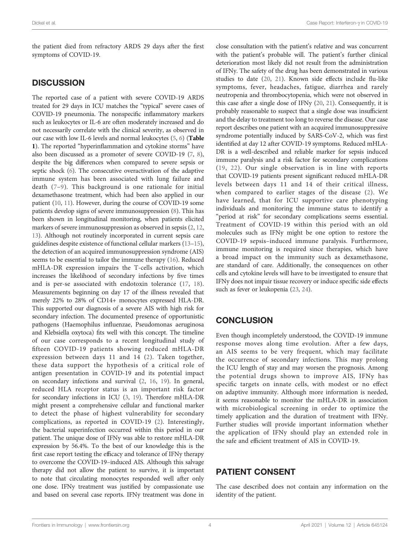the patient died from refractory ARDS 29 days after the first symptoms of COVID-19.

## **DISCUSSION**

The reported case of a patient with severe COVID-19 ARDS treated for 29 days in ICU matches the "typical" severe cases of COVID-19 pneumonia. The nonspecific inflammatory markers such as leukocytes or IL-6 are often moderately increased and do not necessarily correlate with the clinical severity, as observed in our case with low IL-6 levels and normal leukocytes [\(5](#page-4-0), [6](#page-4-0)) ([Table](#page-2-0) [1](#page-2-0)). The reported "hyperinflammation and cytokine storms" have also been discussed as a promoter of severe COVID-19 [\(7](#page-4-0), [8\)](#page-4-0), despite the big differences when compared to severe sepsis or septic shock [\(6\)](#page-4-0). The consecutive overactivation of the adaptive immune system has been associated with lung failure and death ([7](#page-4-0)–[9\)](#page-4-0). This background is one rationale for initial dexamethasone treatment, which had been also applied in our patient [\(10](#page-4-0), [11\)](#page-4-0). However, during the course of COVID-19 some patients develop signs of severe immunosuppression ([8](#page-4-0)). This has been shown in longitudinal monitoring, when patients elicited markers of severe immunosuppression as observed in sepsis ([2](#page-4-0), [12](#page-4-0), [13](#page-4-0)). Although not routinely incorporated in current sepsis care guidelines despite existence of functional cellular markers [\(13](#page-4-0)–[15\)](#page-4-0), the detection of an acquired immunosuppression syndrome (AIS) seems to be essential to tailor the immune therapy [\(16](#page-4-0)). Reduced mHLA-DR expression impairs the T-cells activation, which increases the likelihood of secondary infections by five times and is per-se associated with endotoxin tolerance [\(17](#page-4-0), [18\)](#page-4-0). Measurements beginning on day 17 of the illness revealed that merely 22% to 28% of CD14+ monocytes expressed HLA-DR. This supported our diagnosis of a severe AIS with high risk for secondary infection. The documented presence of opportunistic pathogens (Haemophilus influenzae, Pseudomonas aeruginosa and Klebsiella oxytoca) fits well with this concept. The timeline of our case corresponds to a recent longitudinal study of fifteen COVID-19 patients showing reduced mHLA-DR expression between days 11 and 14 ([2](#page-4-0)). Taken together, these data support the hypothesis of a critical role of antigen presentation in COVID-19 and its potential impact on secondary infections and survival [\(2,](#page-4-0) [16,](#page-4-0) [19\)](#page-4-0). In general, reduced HLA receptor status is an important risk factor for secondary infections in ICU [\(3,](#page-4-0) [19](#page-4-0)). Therefore mHLA-DR might present a comprehensive cellular and functional marker to detect the phase of highest vulnerability for secondary complications, as reported in COVID-19 ([2](#page-4-0)). Interestingly, the bacterial superinfection occurred within this period in our patient. The unique dose of IFNy was able to restore mHLA-DR expression by 56.4%. To the best of our knowledge this is the first case report testing the efficacy and tolerance of IFNy therapy to overcome the COVID-19–induced AIS. Although this salvage therapy did not allow the patient to survive, it is important to note that circulating monocytes responded well after only one dose. IFNy treatment was justified by compassionate use and based on several case reports. IFNy treatment was done in

close consultation with the patient's relative and was concurrent with the patient's probable will. The patient's further clinical deterioration most likely did not result from the administration of IFNy. The safety of the drug has been demonstrated in various studies to date ([20](#page-4-0), [21](#page-4-0)). Known side effects include flu-like symptoms, fever, headaches, fatigue, diarrhea and rarely neutropenia and thrombocytopenia, which were not observed in this case after a single dose of IFNy [\(20](#page-4-0), [21](#page-4-0)). Consequently, it is probably reasonable to suspect that a single dose was insufficient and the delay to treatment too long to reverse the disease. Our case report describes one patient with an acquired immunosuppressive syndrome potentially induced by SARS-CoV-2, which was first identified at day 12 after COVID-19 symptoms. Reduced mHLA-DR is a well-described and reliable marker for sepsis induced immune paralysis and a risk factor for secondary complications ([19,](#page-4-0) [22\)](#page-4-0). Our single observation is in line with reports that COVID-19 patients present significant reduced mHLA-DR levels between days 11 and 14 of their critical illness, when compared to earlier stages of the disease [\(2](#page-4-0)). We have learned, that for ICU supportive care phenotyping individuals and monitoring the immune status to identify a "period at risk" for secondary complications seems essential. Treatment of COVID-19 within this period with an old molecules such as IFNy might be one option to restore the COVID-19 sepsis–induced immune paralysis. Furthermore, immune monitoring is required since therapies, which have a broad impact on the immunity such as dexamethasone, are standard of care. Additionally, the consequences on other cells and cytokine levels will have to be investigated to ensure that IFNy does not impair tissue recovery or induce specific side effects such as fever or leukopenia [\(23](#page-4-0), [24\)](#page-4-0).

## **CONCLUSION**

Even though incompletely understood, the COVID-19 immune response moves along time evolution. After a few days, an AIS seems to be very frequent, which may facilitate the occurrence of secondary infections. This may prolong the ICU length of stay and may worsen the prognosis. Among the potential drugs shown to improve AIS, IFNy has specific targets on innate cells, with modest or no effect on adaptive immunity. Although more information is needed, it seems reasonable to monitor the mHLA-DR in association with microbiological screening in order to optimize the timely application and the duration of treatment with IFNy. Further studies will provide important information whether the application of IFNy should play an extended role in the safe and efficient treatment of AIS in COVID-19.

# PATIENT CONSENT

The case described does not contain any information on the identity of the patient.